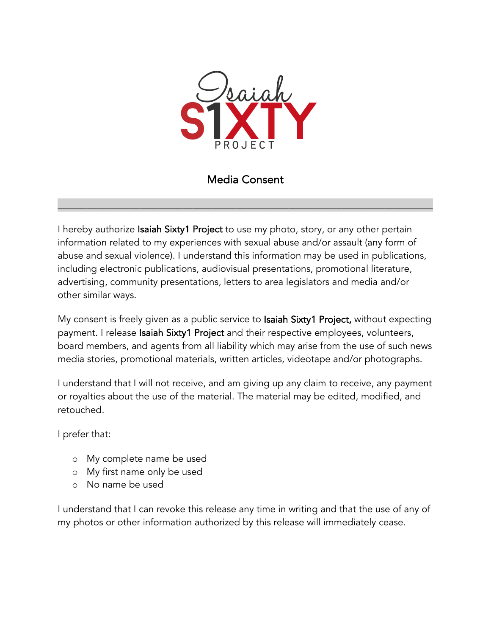

Media Consent

 $\_$  , and the set of the set of the set of the set of the set of the set of the set of the set of the set of the set of the set of the set of the set of the set of the set of the set of the set of the set of the set of th

I hereby authorize Isaiah Sixty1 Project to use my photo, story, or any other pertain information related to my experiences with sexual abuse and/or assault (any form of abuse and sexual violence). I understand this information may be used in publications, including electronic publications, audiovisual presentations, promotional literature, advertising, community presentations, letters to area legislators and media and/or other similar ways.

My consent is freely given as a public service to Isaiah Sixty1 Project, without expecting payment. I release Isaiah Sixty1 Project and their respective employees, volunteers, board members, and agents from all liability which may arise from the use of such news media stories, promotional materials, written articles, videotape and/or photographs.

I understand that I will not receive, and am giving up any claim to receive, any payment or royalties about the use of the material. The material may be edited, modified, and retouched.

I prefer that:

- o My complete name be used
- o My first name only be used
- o No name be used

I understand that I can revoke this release any time in writing and that the use of any of my photos or other information authorized by this release will immediately cease.